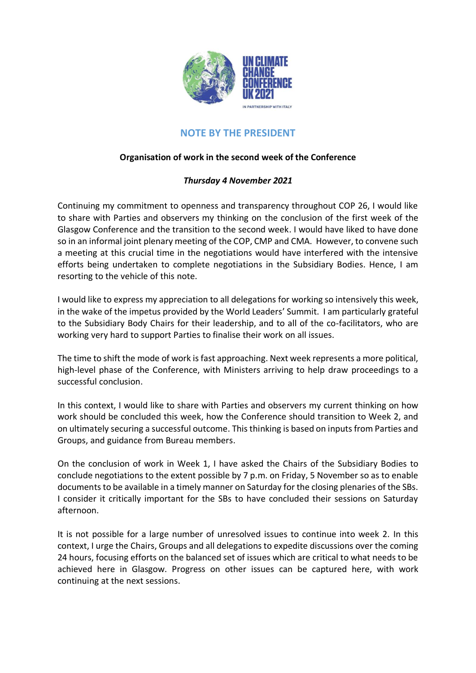

## **NOTE BY THE PRESIDENT**

## **Organisation of work in the second week of the Conference**

## *Thursday 4 November 2021*

Continuing my commitment to openness and transparency throughout COP 26, I would like to share with Parties and observers my thinking on the conclusion of the first week of the Glasgow Conference and the transition to the second week. I would have liked to have done so in an informal joint plenary meeting of the COP, CMP and CMA. However, to convene such a meeting at this crucial time in the negotiations would have interfered with the intensive efforts being undertaken to complete negotiations in the Subsidiary Bodies. Hence, I am resorting to the vehicle of this note.

I would like to express my appreciation to all delegations for working so intensively this week, in the wake of the impetus provided by the World Leaders' Summit. I am particularly grateful to the Subsidiary Body Chairs for their leadership, and to all of the co-facilitators, who are working very hard to support Parties to finalise their work on all issues.

The time to shift the mode of work is fast approaching. Next week represents a more political, high-level phase of the Conference, with Ministers arriving to help draw proceedings to a successful conclusion.

In this context, I would like to share with Parties and observers my current thinking on how work should be concluded this week, how the Conference should transition to Week 2, and on ultimately securing a successful outcome. This thinking is based on inputs from Parties and Groups, and guidance from Bureau members.

On the conclusion of work in Week 1, I have asked the Chairs of the Subsidiary Bodies to conclude negotiations to the extent possible by 7 p.m. on Friday, 5 November so as to enable documents to be available in a timely manner on Saturday for the closing plenaries of the SBs. I consider it critically important for the SBs to have concluded their sessions on Saturday afternoon.

It is not possible for a large number of unresolved issues to continue into week 2. In this context, I urge the Chairs, Groups and all delegations to expedite discussions over the coming 24 hours, focusing efforts on the balanced set of issues which are critical to what needs to be achieved here in Glasgow. Progress on other issues can be captured here, with work continuing at the next sessions.